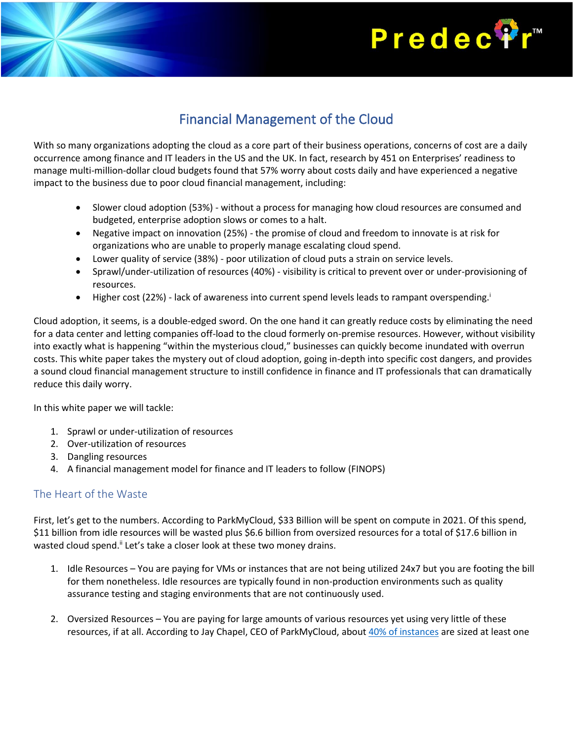# **Predec<sup>®</sup>**

## Financial Management of the Cloud

With so many organizations adopting the cloud as a core part of their business operations, concerns of cost are a daily occurrence among finance and IT leaders in the US and the UK. In fact, research by 451 on Enterprises' readiness to manage multi-million-dollar cloud budgets found that 57% worry about costs daily and have experienced a negative impact to the business due to poor cloud financial management, including:

- Slower cloud adoption (53%) without a process for managing how cloud resources are consumed and budgeted, enterprise adoption slows or comes to a halt.
- Negative impact on innovation (25%) the promise of cloud and freedom to innovate is at risk for organizations who are unable to properly manage escalating cloud spend.
- Lower quality of service (38%) poor utilization of cloud puts a strain on service levels.
- Sprawl/under-utilization of resources (40%) visibility is critical to prevent over or under-provisioning of resources.
- Higher cost (22%) lack of awareness into current spend levels leads to rampant overspending.

Cloud adoption, it seems, is a double-edged sword. On the one hand it can greatly reduce costs by eliminating the need for a data center and letting companies off-load to the cloud formerly on-premise resources. However, without visibility into exactly what is happening "within the mysterious cloud," businesses can quickly become inundated with overrun costs. This white paper takes the mystery out of cloud adoption, going in-depth into specific cost dangers, and provides a sound cloud financial management structure to instill confidence in finance and IT professionals that can dramatically reduce this daily worry.

In this white paper we will tackle:

- 1. Sprawl or under-utilization of resources
- 2. Over-utilization of resources
- 3. Dangling resources
- 4. A financial management model for finance and IT leaders to follow (FINOPS)

#### The Heart of the Waste

First, let's get to the numbers. According to ParkMyCloud, \$33 Billion will be spent on compute in 2021. Of this spend, \$11 billion from idle resources will be wasted plus \$6.6 billion from oversized resources for a total of \$17.6 billion in wasted cloud spend.<sup>ii</sup> Let's take a closer look at these two money drains.

- 1. Idle Resources You are paying for VMs or instances that are not being utilized 24x7 but you are footing the bill for them nonetheless. Idle resources are typically found in non-production environments such as quality assurance testing and staging environments that are not continuously used.
- 2. Oversized Resources You are paying for large amounts of various resources yet using very little of these resources, if at all. According to Jay Chapel, CEO of ParkMyCloud, about [40% of instances](https://www.rightscale.com/blog/cloud-cost-analysis/where-10b-waste-public-cloud-costs) are sized at least one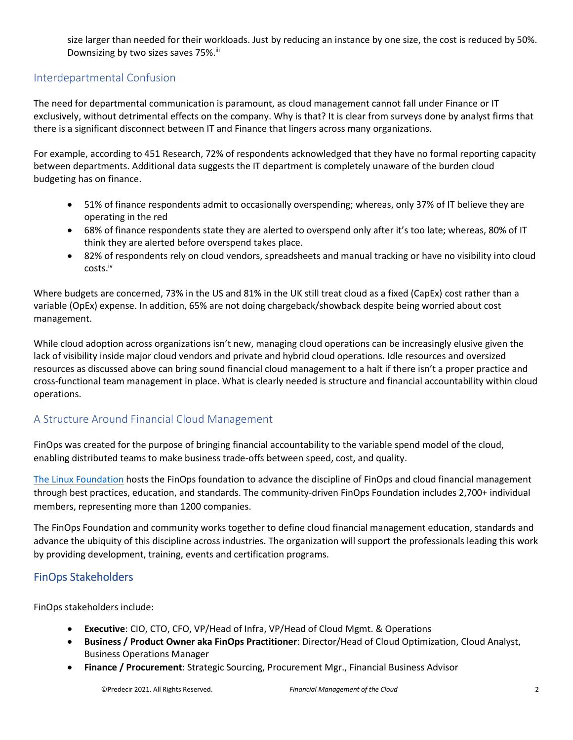size larger than needed for their workloads. Just by reducing an instance by one size, the cost is reduced by 50%. Downsizing by two sizes saves 75%.<sup>iii</sup>

#### Interdepartmental Confusion

The need for departmental communication is paramount, as cloud management cannot fall under Finance or IT exclusively, without detrimental effects on the company. Why is that? It is clear from surveys done by analyst firms that there is a significant disconnect between IT and Finance that lingers across many organizations.

For example, according to 451 Research, 72% of respondents acknowledged that they have no formal reporting capacity between departments. Additional data suggests the IT department is completely unaware of the burden cloud budgeting has on finance.

- 51% of finance respondents admit to occasionally overspending; whereas, only 37% of IT believe they are operating in the red
- 68% of finance respondents state they are alerted to overspend only after it's too late; whereas, 80% of IT think they are alerted before overspend takes place.
- 82% of respondents rely on cloud vendors, spreadsheets and manual tracking or have no visibility into cloud costs.iv

Where budgets are concerned, 73% in the US and 81% in the UK still treat cloud as a fixed (CapEx) cost rather than a variable (OpEx) expense. In addition, 65% are not doing chargeback/showback despite being worried about cost management.

While cloud adoption across organizations isn't new, managing cloud operations can be increasingly elusive given the lack of visibility inside major cloud vendors and private and hybrid cloud operations. Idle resources and oversized resources as discussed above can bring sound financial cloud management to a halt if there isn't a proper practice and cross-functional team management in place. What is clearly needed is structure and financial accountability within cloud operations.

#### A Structure Around Financial Cloud Management

FinOps was created for the purpose of bringing financial accountability to the variable spend model of the cloud, enabling distributed teams to make business trade-offs between speed, cost, and quality.

[The Linux Foundation](https://c212.net/c/link/?t=0&l=en&o=2531833-1&h=992495768&u=http%3A%2F%2Fwww.linuxfoundation.org%2F&a=The+Linux+Foundation) hosts the FinOps foundation to advance the discipline of FinOps and cloud financial management through best practices, education, and standards. The community-driven FinOps Foundation includes 2,700+ individual members, representing more than 1200 companies.

The FinOps Foundation and community works together to define cloud financial management education, standards and advance the ubiquity of this discipline across industries. The organization will support the professionals leading this work by providing development, training, events and certification programs.

#### FinOps Stakeholders

FinOps stakeholders include:

- **Executive**: CIO, CTO, CFO, VP/Head of Infra, VP/Head of Cloud Mgmt. & Operations
- **Business / Product Owner aka FinOps Practitioner**: Director/Head of Cloud Optimization, Cloud Analyst, Business Operations Manager
- **Finance / Procurement**: Strategic Sourcing, Procurement Mgr., Financial Business Advisor